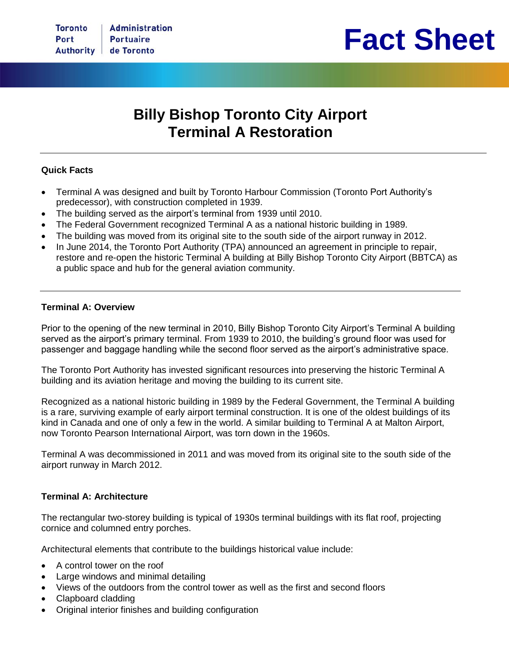

# **Billy Bishop Toronto City Airport Terminal A Restoration**

### **Quick Facts**

- Terminal A was designed and built by Toronto Harbour Commission (Toronto Port Authority's predecessor), with construction completed in 1939.
- The building served as the airport's terminal from 1939 until 2010.
- The Federal Government recognized Terminal A as a national historic building in 1989.
- The building was moved from its original site to the south side of the airport runway in 2012.
- In June 2014, the Toronto Port Authority (TPA) announced an agreement in principle to repair, restore and re-open the historic Terminal A building at Billy Bishop Toronto City Airport (BBTCA) as a public space and hub for the general aviation community.

#### **Terminal A: Overview**

Prior to the opening of the new terminal in 2010, Billy Bishop Toronto City Airport's Terminal A building served as the airport's primary terminal. From 1939 to 2010, the building's ground floor was used for passenger and baggage handling while the second floor served as the airport's administrative space.

The Toronto Port Authority has invested significant resources into preserving the historic Terminal A building and its aviation heritage and moving the building to its current site.

Recognized as a national historic building in 1989 by the Federal Government, the Terminal A building is a rare, surviving example of early airport terminal construction. It is one of the oldest buildings of its kind in Canada and one of only a few in the world. A similar building to Terminal A at Malton Airport, now Toronto Pearson International Airport, was torn down in the 1960s.

Terminal A was decommissioned in 2011 and was moved from its original site to the south side of the airport runway in March 2012.

#### **Terminal A: Architecture**

The rectangular two-storey building is typical of 1930s terminal buildings with its flat roof, projecting cornice and columned entry porches.

Architectural elements that contribute to the buildings historical value include:

- A control tower on the roof
- Large windows and minimal detailing
- Views of the outdoors from the control tower as well as the first and second floors
- Clapboard cladding
- Original interior finishes and building configuration